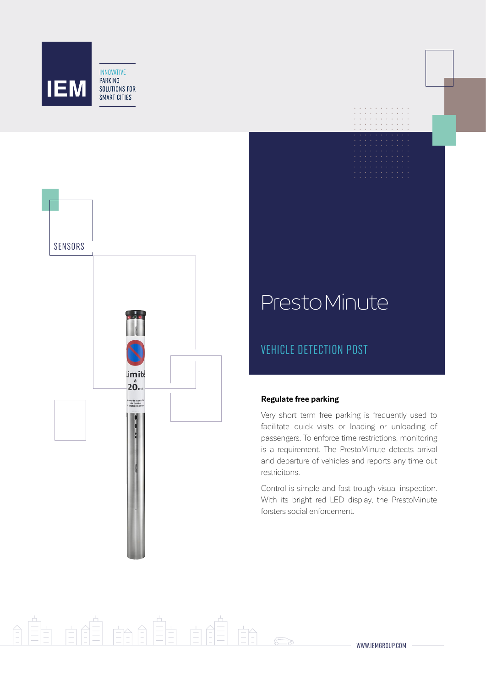



# PrestoMinute

# VEHICLE DETECTION POST

# **Regulate free parking**

Very short term free parking is frequently used to facilitate quick visits or loading or unloading of passengers. To enforce time restrictions, monitoring is a requirement. The PrestoMinute detects arrival and departure of vehicles and reports any time out restricitons.

Control is simple and fast trough visual inspection. With its bright red LED display, the PrestoMinute forsters social enforcement.

# $\equiv$  $\overrightarrow{=}$